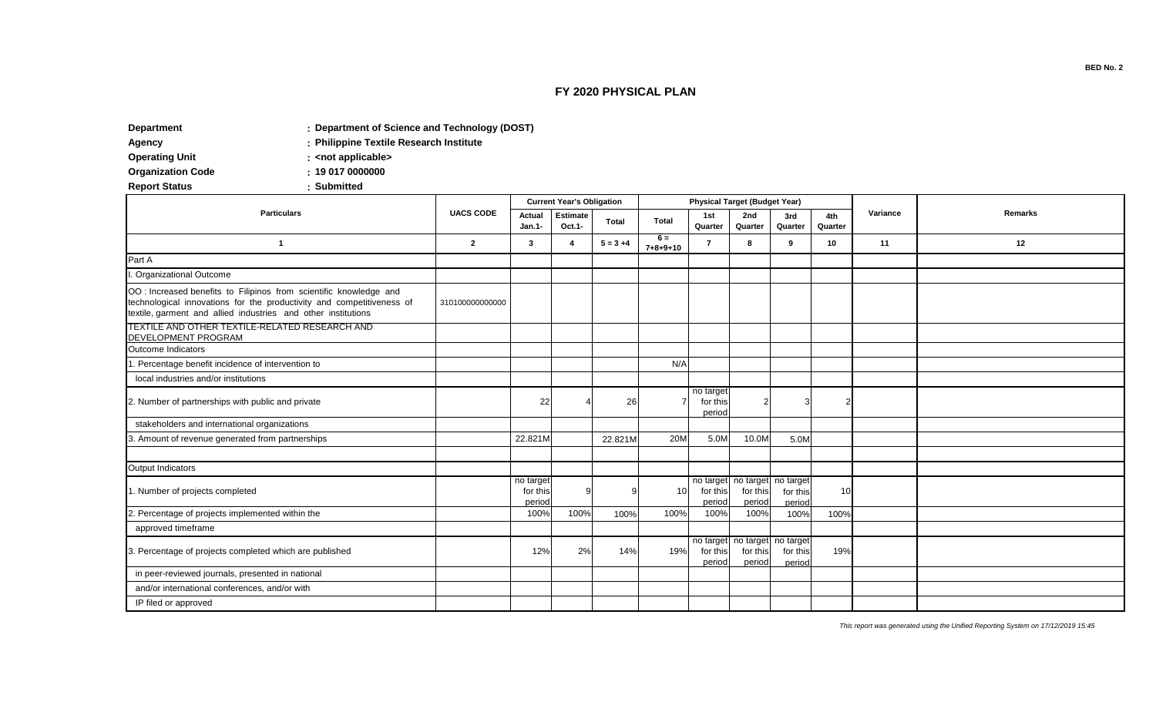## **FY 2020 PHYSICAL PLAN**

**: Department Department of Science and Technology (DOST)**

**:**

**: Agency Philippine Textile Research Institute**

**Operating Unit CONFIDER CONTERNATION CONFIDERENT CONTERNATION** 

**: Organization Code** 

**Report Status** 

| <b>Particulars</b>                                                                                                                                                                                           | <b>UACS CODE</b> | <b>Current Year's Obligation</b> |                           |              |                           |                                 | <b>Physical Target (Budget Year)</b>                |                    |                |          |         |
|--------------------------------------------------------------------------------------------------------------------------------------------------------------------------------------------------------------|------------------|----------------------------------|---------------------------|--------------|---------------------------|---------------------------------|-----------------------------------------------------|--------------------|----------------|----------|---------|
|                                                                                                                                                                                                              |                  | Actual<br>Jan.1-                 | <b>Estimate</b><br>Oct.1- | <b>Total</b> | <b>Total</b>              | 1st<br>Quarter                  | 2nd<br>Quarter                                      | 3rd<br>Quarter     | 4th<br>Quarter | Variance | Remarks |
| $\overline{\mathbf{1}}$                                                                                                                                                                                      | $\overline{2}$   | 3                                | 4                         | $5 = 3 + 4$  | $6 =$<br>$7 + 8 + 9 + 10$ | 7                               | я                                                   | 9                  | 10             | 11       | 12      |
| Part A                                                                                                                                                                                                       |                  |                                  |                           |              |                           |                                 |                                                     |                    |                |          |         |
| I. Organizational Outcome                                                                                                                                                                                    |                  |                                  |                           |              |                           |                                 |                                                     |                    |                |          |         |
| OO : Increased benefits to Filipinos from scientific knowledge and<br>technological innovations for the productivity and competitiveness of<br>textile, garment and allied industries and other institutions | 310100000000000  |                                  |                           |              |                           |                                 |                                                     |                    |                |          |         |
| TEXTILE AND OTHER TEXTILE-RELATED RESEARCH AND<br><b>DEVELOPMENT PROGRAM</b>                                                                                                                                 |                  |                                  |                           |              |                           |                                 |                                                     |                    |                |          |         |
| Outcome Indicators                                                                                                                                                                                           |                  |                                  |                           |              |                           |                                 |                                                     |                    |                |          |         |
| 1. Percentage benefit incidence of intervention to                                                                                                                                                           |                  |                                  |                           |              | N/A                       |                                 |                                                     |                    |                |          |         |
| local industries and/or institutions                                                                                                                                                                         |                  |                                  |                           |              |                           |                                 |                                                     |                    |                |          |         |
| 2. Number of partnerships with public and private                                                                                                                                                            |                  | 22                               |                           | 26           |                           | no target<br>for this<br>period | $\overline{2}$                                      |                    |                |          |         |
| stakeholders and international organizations                                                                                                                                                                 |                  |                                  |                           |              |                           |                                 |                                                     |                    |                |          |         |
| 3. Amount of revenue generated from partnerships                                                                                                                                                             |                  | 22.821M                          |                           | 22.821M      | <b>20M</b>                | 5.0M                            | 10.0M                                               | 5.0M               |                |          |         |
|                                                                                                                                                                                                              |                  |                                  |                           |              |                           |                                 |                                                     |                    |                |          |         |
| Output Indicators                                                                                                                                                                                            |                  |                                  |                           |              |                           |                                 |                                                     |                    |                |          |         |
| 1. Number of projects completed                                                                                                                                                                              |                  | no target<br>for this<br>period  | C                         |              | 10                        | for this<br>period              | no target no target no target<br>for this<br>period | for this<br>period | 10             |          |         |
| 2. Percentage of projects implemented within the                                                                                                                                                             |                  | 100%                             | 100%                      | 100%         | 100%                      | 100%                            | 100%                                                | 100%               | 100%           |          |         |
| approved timeframe                                                                                                                                                                                           |                  |                                  |                           |              |                           |                                 |                                                     |                    |                |          |         |
| 3. Percentage of projects completed which are published                                                                                                                                                      |                  | 12%                              | 2%                        | 14%          | 19%                       | for this<br>period              | no target no target no target<br>for this<br>period | for this<br>period | 19%            |          |         |
| in peer-reviewed journals, presented in national                                                                                                                                                             |                  |                                  |                           |              |                           |                                 |                                                     |                    |                |          |         |
| and/or international conferences, and/or with                                                                                                                                                                |                  |                                  |                           |              |                           |                                 |                                                     |                    |                |          |         |
| IP filed or approved                                                                                                                                                                                         |                  |                                  |                           |              |                           |                                 |                                                     |                    |                |          |         |

*This report was generated using the Unified Reporting System on 17/12/2019 15:45*